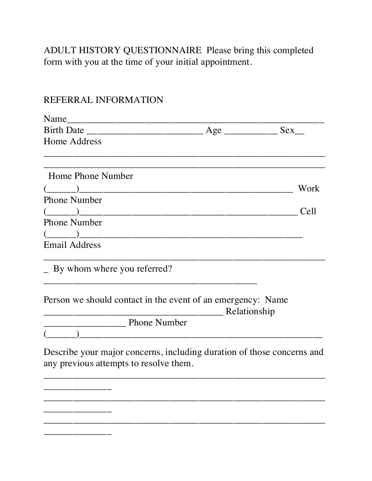ADULT HISTORY QUESTIONNAIRE Please bring this completed form with you at the time of your initial appointment.

## REFERRAL INFORMATION

| Name                                                                                                                                                                                                                                                                                                                                                                                                     |                                                                                                                      |      |
|----------------------------------------------------------------------------------------------------------------------------------------------------------------------------------------------------------------------------------------------------------------------------------------------------------------------------------------------------------------------------------------------------------|----------------------------------------------------------------------------------------------------------------------|------|
|                                                                                                                                                                                                                                                                                                                                                                                                          |                                                                                                                      |      |
| Home Address                                                                                                                                                                                                                                                                                                                                                                                             |                                                                                                                      |      |
|                                                                                                                                                                                                                                                                                                                                                                                                          |                                                                                                                      |      |
| <b>Home Phone Number</b>                                                                                                                                                                                                                                                                                                                                                                                 |                                                                                                                      |      |
|                                                                                                                                                                                                                                                                                                                                                                                                          |                                                                                                                      | Work |
| <b>Phone Number</b>                                                                                                                                                                                                                                                                                                                                                                                      |                                                                                                                      |      |
| $\begin{pmatrix} \frac{1}{2} & \frac{1}{2} & \frac{1}{2} & \frac{1}{2} & \frac{1}{2} & \frac{1}{2} & \frac{1}{2} & \frac{1}{2} & \frac{1}{2} & \frac{1}{2} & \frac{1}{2} & \frac{1}{2} & \frac{1}{2} & \frac{1}{2} & \frac{1}{2} & \frac{1}{2} & \frac{1}{2} & \frac{1}{2} & \frac{1}{2} & \frac{1}{2} & \frac{1}{2} & \frac{1}{2} & \frac{1}{2} & \frac{1}{2} & \frac{1}{2} & \frac{1}{2} & \frac{1}{2$ |                                                                                                                      | Cell |
| <b>Phone Number</b>                                                                                                                                                                                                                                                                                                                                                                                      |                                                                                                                      |      |
| $\begin{picture}(20,10) \put(0,0){\dashbox{0.5}(5,0){ }} \put(15,0){\circle{1}} \put(15,0){\circle{1}} \put(15,0){\circle{1}} \put(15,0){\circle{1}} \put(15,0){\circle{1}} \put(15,0){\circle{1}} \put(15,0){\circle{1}} \put(15,0){\circle{1}} \put(15,0){\circle{1}} \put(15,0){\circle{1}} \put(15,0){\circle{1}} \put(15,0){\circle{1}} \put(15,0){\circle{1}} \put(15,0){\circle{1}} \put(15,0$    |                                                                                                                      |      |
| <b>Email Address</b>                                                                                                                                                                                                                                                                                                                                                                                     |                                                                                                                      |      |
| - By whom where you referred?                                                                                                                                                                                                                                                                                                                                                                            |                                                                                                                      |      |
| Person we should contact in the event of an emergency: Name                                                                                                                                                                                                                                                                                                                                              | Relationship                                                                                                         |      |
| <b>Number</b> Phone Number                                                                                                                                                                                                                                                                                                                                                                               |                                                                                                                      |      |
|                                                                                                                                                                                                                                                                                                                                                                                                          | <u> 1980 - Jan Barbara Barbara, manazarta da kasas da kasas da kasas da kasas da kasas da kasas da kasas da kasa</u> |      |
| Describe your major concerns, including duration of those concerns and<br>any previous attempts to resolve them.                                                                                                                                                                                                                                                                                         |                                                                                                                      |      |
|                                                                                                                                                                                                                                                                                                                                                                                                          |                                                                                                                      |      |
|                                                                                                                                                                                                                                                                                                                                                                                                          |                                                                                                                      |      |
|                                                                                                                                                                                                                                                                                                                                                                                                          |                                                                                                                      |      |
|                                                                                                                                                                                                                                                                                                                                                                                                          |                                                                                                                      |      |
|                                                                                                                                                                                                                                                                                                                                                                                                          |                                                                                                                      |      |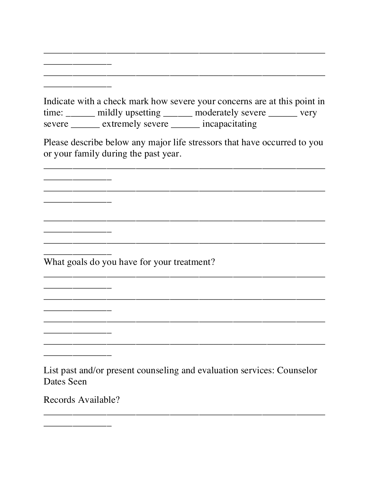Indicate with a check mark how severe your concerns are at this point in time: \_\_\_\_\_\_ mildly upsetting \_\_\_\_\_\_ moderately severe \_\_\_\_\_\_ very severe \_\_\_\_\_\_\_ extremely severe \_\_\_\_\_\_ incapacitating

Please describe below any major life stressors that have occurred to you or your family during the past year.

What goals do you have for your treatment?

List past and/or present counseling and evaluation services: Counselor Dates Seen

Records Available?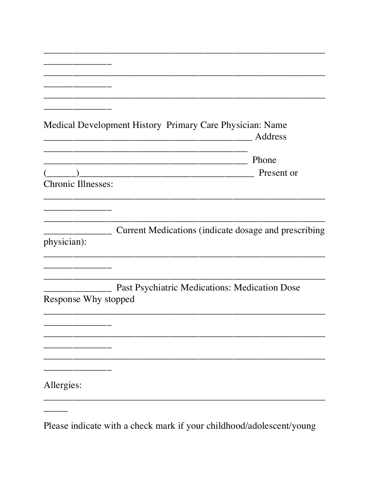|                           | Medical Development History Primary Care Physician: Name   | Address    |
|---------------------------|------------------------------------------------------------|------------|
|                           |                                                            | Phone      |
|                           | <u> 1999 - Johann John Stoff, fransk politik (d. 1989)</u> | Present or |
| <b>Chronic Illnesses:</b> |                                                            |            |
|                           |                                                            |            |
|                           |                                                            |            |
|                           |                                                            |            |
| physician):               | Current Medications (indicate dosage and prescribing       |            |
|                           |                                                            |            |
|                           |                                                            |            |
|                           |                                                            |            |
|                           | Past Psychiatric Medications: Medication Dose              |            |
| Response Why stopped      |                                                            |            |
|                           |                                                            |            |
|                           |                                                            |            |
|                           |                                                            |            |
|                           |                                                            |            |
|                           |                                                            |            |
| Allergies:                |                                                            |            |
|                           |                                                            |            |
|                           |                                                            |            |

Please indicate with a check mark if your childhood/adolescent/young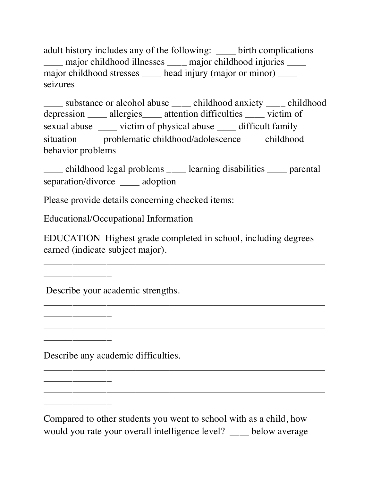adult history includes any of the following: birth complications \_\_\_\_ major childhood illnesses \_\_\_\_ major childhood injuries \_\_\_\_ major childhood stresses head injury (major or minor) \_\_\_\_\_ seizures

substance or alcohol abuse \_\_\_\_ childhood anxiety childhood depression \_\_\_\_\_ allergies \_\_\_\_\_ attention difficulties \_\_\_\_\_ victim of sexual abuse \_\_\_\_ victim of physical abuse \_\_\_\_ difficult family situation \_\_\_\_ problematic childhood/adolescence \_\_\_\_ childhood behavior problems

\_\_\_\_ childhood legal problems \_\_\_\_ learning disabilities \_\_\_\_ parental separation/divorce \_\_\_\_ adoption

Please provide details concerning checked items:

Educational/Occupational Information

EDUCATION Highest grade completed in school, including degrees earned (indicate subject major).

\_\_\_\_\_\_\_\_\_\_\_\_\_\_\_\_\_\_\_\_\_\_\_\_\_\_\_\_\_\_\_\_\_\_\_\_\_\_\_\_\_\_\_\_\_\_\_\_\_\_\_\_\_\_\_\_\_\_

\_\_\_\_\_\_\_\_\_\_\_\_\_\_\_\_\_\_\_\_\_\_\_\_\_\_\_\_\_\_\_\_\_\_\_\_\_\_\_\_\_\_\_\_\_\_\_\_\_\_\_\_\_\_\_\_\_\_

\_\_\_\_\_\_\_\_\_\_\_\_\_\_\_\_\_\_\_\_\_\_\_\_\_\_\_\_\_\_\_\_\_\_\_\_\_\_\_\_\_\_\_\_\_\_\_\_\_\_\_\_\_\_\_\_\_\_

\_\_\_\_\_\_\_\_\_\_\_\_\_\_\_\_\_\_\_\_\_\_\_\_\_\_\_\_\_\_\_\_\_\_\_\_\_\_\_\_\_\_\_\_\_\_\_\_\_\_\_\_\_\_\_\_\_\_

\_\_\_\_\_\_\_\_\_\_\_\_\_\_\_\_\_\_\_\_\_\_\_\_\_\_\_\_\_\_\_\_\_\_\_\_\_\_\_\_\_\_\_\_\_\_\_\_\_\_\_\_\_\_\_\_\_\_

Describe your academic strengths.

\_\_\_\_\_\_\_\_\_\_\_\_\_\_

\_\_\_\_\_\_\_\_\_\_\_\_\_\_

\_\_\_\_\_\_\_\_\_\_\_\_\_\_

\_\_\_\_\_\_\_\_\_\_\_\_\_\_

\_\_\_\_\_\_\_\_\_\_\_\_\_\_

Describe any academic difficulties.

Compared to other students you went to school with as a child, how would you rate your overall intelligence level? below average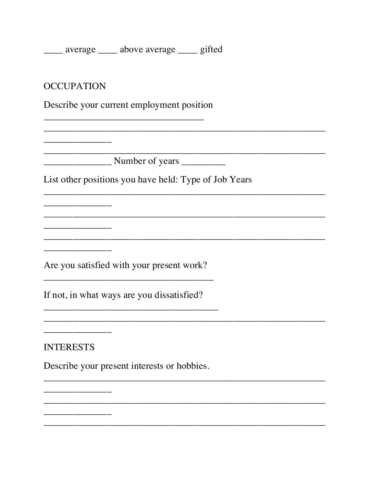\_\_\_\_ average \_\_\_\_ above average \_\_\_ gifted

**OCCUPATION** 

Describe your current employment position

<u> 1980 - Johann Barn, mars eta bat eta bat erroman erroman erroman erroman erroman erroman erroman erroman err</u>

List other positions you have held: Type of Job Years

Are you satisfied with your present work?

If not, in what ways are you dissatisfied?

**INTERESTS** 

Describe your present interests or hobbies.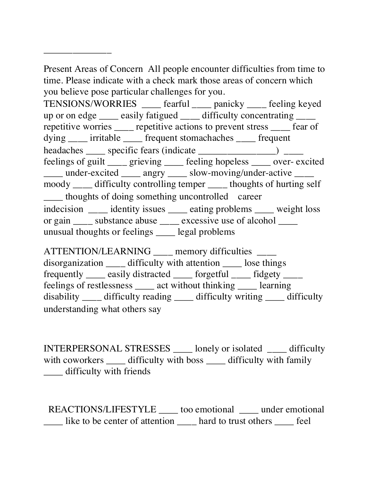Present Areas of Concern All people encounter difficulties from time to time. Please indicate with a check mark those areas of concern which you believe pose particular challenges for you.

\_\_\_\_\_\_\_\_\_\_\_\_\_\_

TENSIONS/WORRIES \_\_\_\_ fearful \_\_\_\_ panicky \_\_\_\_ feeling keyed up or on edge \_\_\_\_\_ easily fatigued \_\_\_\_\_ difficulty concentrating \_\_\_\_\_ repetitive worries \_\_\_\_ repetitive actions to prevent stress \_\_\_\_ fear of dying irritable frequent stomachaches frequent headaches \_\_\_\_\_ specific fears (indicate \_\_\_\_\_\_\_\_\_\_\_\_\_\_\_\_) \_\_\_\_\_ feelings of guilt \_\_\_\_ grieving \_\_\_\_ feeling hopeless \_\_\_\_ over- excited \_\_\_\_ under-excited \_\_\_\_ angry \_\_\_\_ slow-moving/under-active \_\_\_\_ moody \_\_\_\_ difficulty controlling temper \_\_\_\_ thoughts of hurting self \_\_\_\_ thoughts of doing something uncontrolled career indecision \_\_\_\_\_ identity issues \_\_\_\_\_ eating problems \_\_\_\_\_ weight loss or gain \_\_\_\_ substance abuse \_\_\_\_ excessive use of alcohol \_\_\_\_ unusual thoughts or feelings \_\_\_\_ legal problems

ATTENTION/LEARNING \_\_\_\_ memory difficulties \_\_\_\_ disorganization \_\_\_\_ difficulty with attention \_\_\_\_ lose things frequently \_\_\_\_\_ easily distracted \_\_\_\_\_ forgetful \_\_\_\_\_ fidgety \_\_\_\_\_ feelings of restlessness act without thinking learning disability \_\_\_\_ difficulty reading \_\_\_\_ difficulty writing \_\_\_\_ difficulty understanding what others say

INTERPERSONAL STRESSES \_\_\_\_ lonely or isolated \_\_\_\_ difficulty with coworkers difficulty with boss difficulty with family \_\_\_\_ difficulty with friends

REACTIONS/LIFESTYLE \_\_\_\_\_ too emotional \_\_\_\_\_ under emotional \_\_\_\_ like to be center of attention \_\_\_\_ hard to trust others \_\_\_\_ feel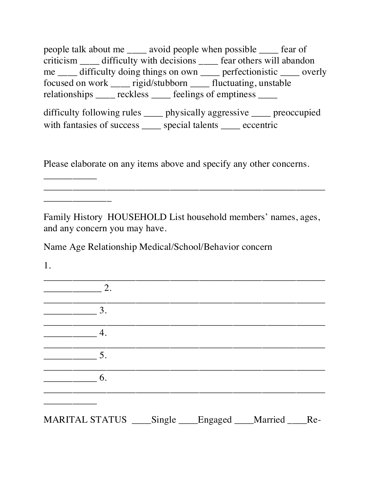people talk about me \_\_\_\_ avoid people when possible \_\_\_\_ fear of criticism \_\_\_\_ difficulty with decisions \_\_\_\_ fear others will abandon me \_\_\_\_ difficulty doing things on own \_\_\_\_ perfectionistic \_\_\_\_ overly focused on work \_\_\_\_ rigid/stubborn \_\_\_\_ fluctuating, unstable relationships \_\_\_\_ reckless \_\_\_\_ feelings of emptiness \_\_\_\_

difficulty following rules \_\_\_\_ physically aggressive \_\_\_\_ preoccupied with fantasies of success special talents eccentric

Please elaborate on any items above and specify any other concerns.

Family History HOUSEHOLD List household members' names, ages, and any concern you may have.

\_\_\_\_\_\_\_\_\_\_\_\_\_\_\_\_\_\_\_\_\_\_\_\_\_\_\_\_\_\_\_\_\_\_\_\_\_\_\_\_\_\_\_\_\_\_\_\_\_\_\_\_\_\_\_\_\_\_

Name Age Relationship Medical/School/Behavior concern

1.

\_\_\_\_\_\_\_\_\_\_\_

\_\_\_\_\_\_\_\_\_\_\_\_\_\_

| 2.                                                       |  |  |
|----------------------------------------------------------|--|--|
| 3.                                                       |  |  |
| 4.                                                       |  |  |
| 5.                                                       |  |  |
| 6.                                                       |  |  |
|                                                          |  |  |
| MARITAL STATUS ____Single ____Engaged ___Married ____Re- |  |  |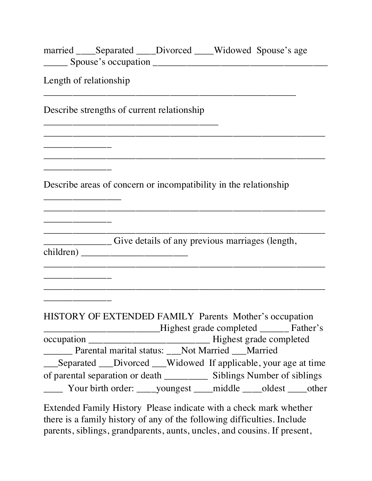| married _____Separated _____Divorced _____Widowed Spouse's age   |                                                 |                                                                     |
|------------------------------------------------------------------|-------------------------------------------------|---------------------------------------------------------------------|
| Length of relationship                                           |                                                 |                                                                     |
| Describe strengths of current relationship                       |                                                 |                                                                     |
|                                                                  |                                                 |                                                                     |
| Describe areas of concern or incompatibility in the relationship |                                                 |                                                                     |
|                                                                  | Give details of any previous marriages (length, |                                                                     |
|                                                                  |                                                 |                                                                     |
| HISTORY OF EXTENDED FAMILY Parents Mother's occupation           |                                                 | Highest grade completed _______ Father's                            |
|                                                                  |                                                 |                                                                     |
| ________ Parental marital status: ___Not Married ___Married      |                                                 |                                                                     |
|                                                                  |                                                 | ___Separated ___Divorced ___Widowed If applicable, your age at time |
|                                                                  |                                                 |                                                                     |

Extended Family History Please indicate with a check mark whether there is a family history of any of the following difficulties. Include parents, siblings, grandparents, aunts, uncles, and cousins. If present,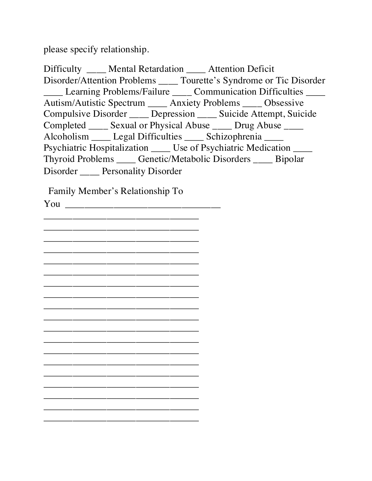please specify relationship.

Difficulty \_\_\_\_ Mental Retardation \_\_\_\_ Attention Deficit Disorder/Attention Problems \_\_\_\_ Tourette's Syndrome or Tic Disorder \_\_\_\_ Learning Problems/Failure \_\_\_\_ Communication Difficulties \_\_\_\_ Autism/Autistic Spectrum \_\_\_\_ Anxiety Problems \_\_\_\_ Obsessive Compulsive Disorder \_\_\_\_ Depression \_\_\_\_ Suicide Attempt, Suicide Completed \_\_\_\_\_ Sexual or Physical Abuse \_\_\_\_\_ Drug Abuse \_\_\_\_ Alcoholism \_\_\_\_ Legal Difficulties \_\_\_\_ Schizophrenia \_\_\_\_ Psychiatric Hospitalization \_\_\_\_\_ Use of Psychiatric Medication \_\_\_\_\_ Thyroid Problems \_\_\_\_ Genetic/Metabolic Disorders \_\_\_\_ Bipolar Disorder \_\_\_\_ Personality Disorder

Family Member's Relationship To

You  $\overline{Y}$ \_\_\_\_\_\_\_\_\_\_\_\_\_\_\_\_\_\_\_\_\_\_\_\_\_\_\_\_\_\_\_\_ \_\_\_\_\_\_\_\_\_\_\_\_\_\_\_\_\_\_\_\_\_\_\_\_\_\_\_\_\_\_\_\_ \_\_\_\_\_\_\_\_\_\_\_\_\_\_\_\_\_\_\_\_\_\_\_\_\_\_\_\_\_\_\_\_ \_\_\_\_\_\_\_\_\_\_\_\_\_\_\_\_\_\_\_\_\_\_\_\_\_\_\_\_\_\_\_\_ \_\_\_\_\_\_\_\_\_\_\_\_\_\_\_\_\_\_\_\_\_\_\_\_\_\_\_\_\_\_\_\_ \_\_\_\_\_\_\_\_\_\_\_\_\_\_\_\_\_\_\_\_\_\_\_\_\_\_\_\_\_\_\_\_ \_\_\_\_\_\_\_\_\_\_\_\_\_\_\_\_\_\_\_\_\_\_\_\_\_\_\_\_\_\_\_\_ \_\_\_\_\_\_\_\_\_\_\_\_\_\_\_\_\_\_\_\_\_\_\_\_\_\_\_\_\_\_\_\_ \_\_\_\_\_\_\_\_\_\_\_\_\_\_\_\_\_\_\_\_\_\_\_\_\_\_\_\_\_\_\_\_ \_\_\_\_\_\_\_\_\_\_\_\_\_\_\_\_\_\_\_\_\_\_\_\_\_\_\_\_\_\_\_\_ \_\_\_\_\_\_\_\_\_\_\_\_\_\_\_\_\_\_\_\_\_\_\_\_\_\_\_\_\_\_\_\_ \_\_\_\_\_\_\_\_\_\_\_\_\_\_\_\_\_\_\_\_\_\_\_\_\_\_\_\_\_\_\_\_ \_\_\_\_\_\_\_\_\_\_\_\_\_\_\_\_\_\_\_\_\_\_\_\_\_\_\_\_\_\_\_\_ \_\_\_\_\_\_\_\_\_\_\_\_\_\_\_\_\_\_\_\_\_\_\_\_\_\_\_\_\_\_\_\_ \_\_\_\_\_\_\_\_\_\_\_\_\_\_\_\_\_\_\_\_\_\_\_\_\_\_\_\_\_\_\_\_ \_\_\_\_\_\_\_\_\_\_\_\_\_\_\_\_\_\_\_\_\_\_\_\_\_\_\_\_\_\_\_\_ \_\_\_\_\_\_\_\_\_\_\_\_\_\_\_\_\_\_\_\_\_\_\_\_\_\_\_\_\_\_\_\_ \_\_\_\_\_\_\_\_\_\_\_\_\_\_\_\_\_\_\_\_\_\_\_\_\_\_\_\_\_\_\_\_ \_\_\_\_\_\_\_\_\_\_\_\_\_\_\_\_\_\_\_\_\_\_\_\_\_\_\_\_\_\_\_\_